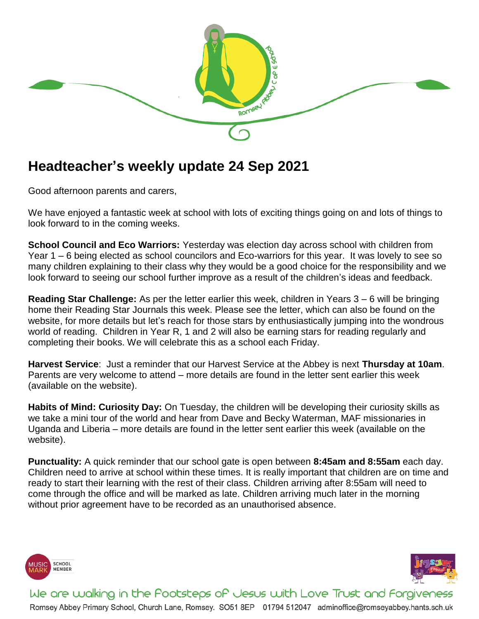

## **Headteacher's weekly update 24 Sep 2021**

Good afternoon parents and carers,

We have enjoyed a fantastic week at school with lots of exciting things going on and lots of things to look forward to in the coming weeks.

**School Council and Eco Warriors:** Yesterday was election day across school with children from Year 1 – 6 being elected as school councilors and Eco-warriors for this year. It was lovely to see so many children explaining to their class why they would be a good choice for the responsibility and we look forward to seeing our school further improve as a result of the children's ideas and feedback.

**Reading Star Challenge:** As per the letter earlier this week, children in Years 3 – 6 will be bringing home their Reading Star Journals this week. Please see the letter, which can also be found on the website, for more details but let's reach for those stars by enthusiastically jumping into the wondrous world of reading. Children in Year R, 1 and 2 will also be earning stars for reading regularly and completing their books. We will celebrate this as a school each Friday.

**Harvest Service**: Just a reminder that our Harvest Service at the Abbey is next **Thursday at 10am**. Parents are very welcome to attend – more details are found in the letter sent earlier this week (available on the website).

**Habits of Mind: Curiosity Day:** On Tuesday, the children will be developing their curiosity skills as we take a mini tour of the world and hear from Dave and Becky Waterman, MAF missionaries in Uganda and Liberia – more details are found in the letter sent earlier this week (available on the website).

**Punctuality:** A quick reminder that our school gate is open between **8:45am and 8:55am** each day. Children need to arrive at school within these times. It is really important that children are on time and ready to start their learning with the rest of their class. Children arriving after 8:55am will need to come through the office and will be marked as late. Children arriving much later in the morning without prior agreement have to be recorded as an unauthorised absence.





We are walking in the Pootsteps of Jesus with Love Trust and Forgiveness Romsey Abbey Primary School, Church Lane, Romsey. SO51 8EP 01794 512047 adminoffice@romseyabbey.hants.sch.uk